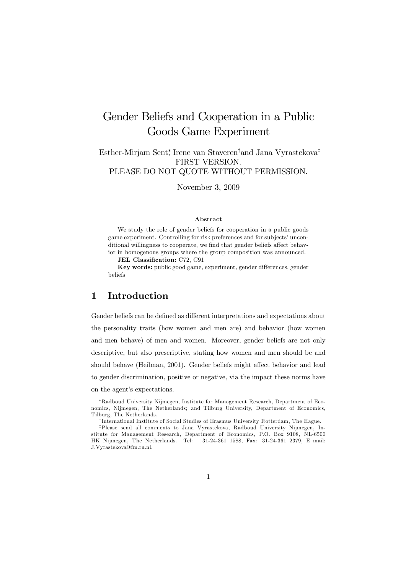# Gender Beliefs and Cooperation in a Public Goods Game Experiment

Esther-Mirjam Sent<sup>∗</sup> , Irene van Staveren†and Jana Vyrastekova‡ FIRST VERSION. PLEASE DO NOT QUOTE WITHOUT PERMISSION.

November 3, 2009

#### Abstract

We study the role of gender beliefs for cooperation in a public goods game experiment. Controlling for risk preferences and for subjects' unconditional willingness to cooperate, we find that gender beliefs affect behavior in homogenous groups where the group composition was announced.

JEL Classification: C72, C91

Key words: public good game, experiment, gender differences, gender beliefs

## 1 Introduction

Gender beliefs can be defined as different interpretations and expectations about the personality traits (how women and men are) and behavior (how women and men behave) of men and women. Moreover, gender beliefs are not only descriptive, but also prescriptive, stating how women and men should be and should behave (Heilman, 2001). Gender beliefs might affect behavior and lead to gender discrimination, positive or negative, via the impact these norms have on the agent's expectations.

<sup>∗</sup>Radboud University Nijmegen, Institute for Management Research, Department of Economics, Nijmegen, The Netherlands; and Tilburg University, Department of Economics, Tilburg, The Netherlands.

<sup>†</sup> International Institute of Social Studies of Erasmus University Rotterdam, The Hague.

<sup>‡</sup>Please send all comments to Jana Vyrastekova, Radboud University Nijmegen, Institute for Management Research, Department of Economics, P.O. Box 9108, NL-6500 HK Nijmegen, The Netherlands. Tel: +31-24-361 1588, Fax: 31-24-361 2379, E—mail: J.Vyrastekova@fm.ru.nl.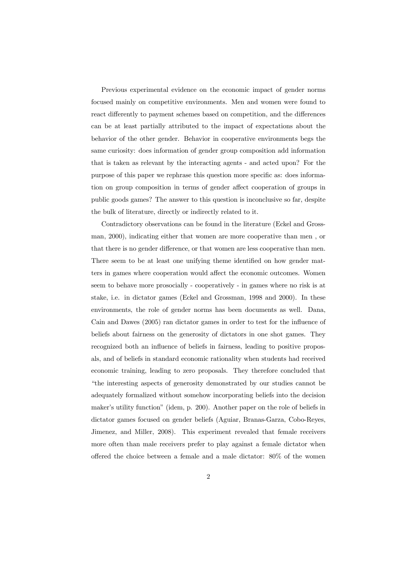Previous experimental evidence on the economic impact of gender norms focused mainly on competitive environments. Men and women were found to react differently to payment schemes based on competition, and the differences can be at least partially attributed to the impact of expectations about the behavior of the other gender. Behavior in cooperative environments begs the same curiosity: does information of gender group composition add information that is taken as relevant by the interacting agents - and acted upon? For the purpose of this paper we rephrase this question more specific as: does information on group composition in terms of gender affect cooperation of groups in public goods games? The answer to this question is inconclusive so far, despite the bulk of literature, directly or indirectly related to it.

Contradictory observations can be found in the literature (Eckel and Grossman, 2000), indicating either that women are more cooperative than men , or that there is no gender difference, or that women are less cooperative than men. There seem to be at least one unifying theme identified on how gender matters in games where cooperation would affect the economic outcomes. Women seem to behave more prosocially - cooperatively - in games where no risk is at stake, i.e. in dictator games (Eckel and Grossman, 1998 and 2000). In these environments, the role of gender norms has been documents as well. Dana, Cain and Dawes (2005) ran dictator games in order to test for the influence of beliefs about fairness on the generosity of dictators in one shot games. They recognized both an influence of beliefs in fairness, leading to positive proposals, and of beliefs in standard economic rationality when students had received economic training, leading to zero proposals. They therefore concluded that "the interesting aspects of generosity demonstrated by our studies cannot be adequately formalized without somehow incorporating beliefs into the decision maker's utility function" (idem, p. 200). Another paper on the role of beliefs in dictator games focused on gender beliefs (Aguiar, Branas-Garza, Cobo-Reyes, Jimenez, and Miller, 2008). This experiment revealed that female receivers more often than male receivers prefer to play against a female dictator when offered the choice between a female and a male dictator: 80% of the women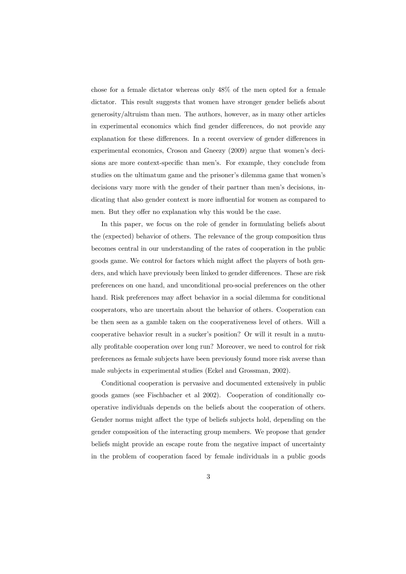chose for a female dictator whereas only 48% of the men opted for a female dictator. This result suggests that women have stronger gender beliefs about generosity/altruism than men. The authors, however, as in many other articles in experimental economics which find gender differences, do not provide any explanation for these differences. In a recent overview of gender differences in experimental economics, Croson and Gneezy (2009) argue that women's decisions are more context-specific than men's. For example, they conclude from studies on the ultimatum game and the prisoner's dilemma game that women's decisions vary more with the gender of their partner than men's decisions, indicating that also gender context is more influential for women as compared to men. But they offer no explanation why this would be the case.

In this paper, we focus on the role of gender in formulating beliefs about the (expected) behavior of others. The relevance of the group composition thus becomes central in our understanding of the rates of cooperation in the public goods game. We control for factors which might affect the players of both genders, and which have previously been linked to gender differences. These are risk preferences on one hand, and unconditional pro-social preferences on the other hand. Risk preferences may affect behavior in a social dilemma for conditional cooperators, who are uncertain about the behavior of others. Cooperation can be then seen as a gamble taken on the cooperativeness level of others. Will a cooperative behavior result in a sucker's position? Or will it result in a mutually profitable cooperation over long run? Moreover, we need to control for risk preferences as female subjects have been previously found more risk averse than male subjects in experimental studies (Eckel and Grossman, 2002).

Conditional cooperation is pervasive and documented extensively in public goods games (see Fischbacher et al 2002). Cooperation of conditionally cooperative individuals depends on the beliefs about the cooperation of others. Gender norms might affect the type of beliefs subjects hold, depending on the gender composition of the interacting group members. We propose that gender beliefs might provide an escape route from the negative impact of uncertainty in the problem of cooperation faced by female individuals in a public goods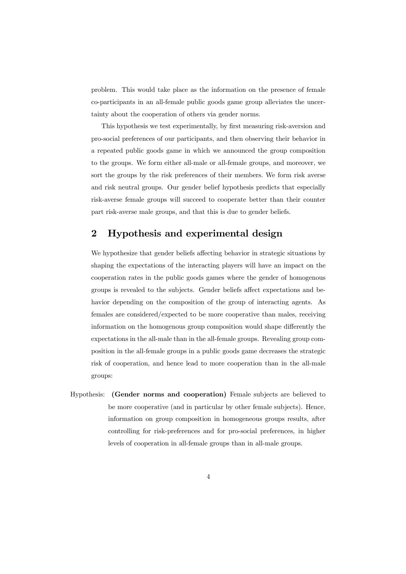problem. This would take place as the information on the presence of female co-participants in an all-female public goods game group alleviates the uncertainty about the cooperation of others via gender norms.

This hypothesis we test experimentally, by first measuring risk-aversion and pro-social preferences of our participants, and then observing their behavior in a repeated public goods game in which we announced the group composition to the groups. We form either all-male or all-female groups, and moreover, we sort the groups by the risk preferences of their members. We form risk averse and risk neutral groups. Our gender belief hypothesis predicts that especially risk-averse female groups will succeed to cooperate better than their counter part risk-averse male groups, and that this is due to gender beliefs.

### 2 Hypothesis and experimental design

We hypothesize that gender beliefs affecting behavior in strategic situations by shaping the expectations of the interacting players will have an impact on the cooperation rates in the public goods games where the gender of homogenous groups is revealed to the subjects. Gender beliefs affect expectations and behavior depending on the composition of the group of interacting agents. As females are considered/expected to be more cooperative than males, receiving information on the homogenous group composition would shape differently the expectations in the all-male than in the all-female groups. Revealing group composition in the all-female groups in a public goods game decreases the strategic risk of cooperation, and hence lead to more cooperation than in the all-male groups:

Hypothesis: (Gender norms and cooperation) Female subjects are believed to be more cooperative (and in particular by other female subjects). Hence, information on group composition in homogeneous groups results, after controlling for risk-preferences and for pro-social preferences, in higher levels of cooperation in all-female groups than in all-male groups.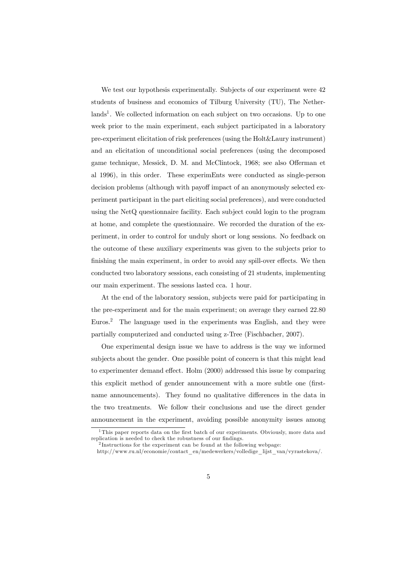We test our hypothesis experimentally. Subjects of our experiment were 42 students of business and economics of Tilburg University (TU), The Netherlands<sup>1</sup>. We collected information on each subject on two occasions. Up to one week prior to the main experiment, each subject participated in a laboratory pre-experiment elicitation of risk preferences (using the Holt&Laury instrument) and an elicitation of unconditional social preferences (using the decomposed game technique, Messick, D. M. and McClintock, 1968; see also Offerman et al 1996), in this order. These experimEnts were conducted as single-person decision problems (although with payoff impact of an anonymously selected experiment participant in the part eliciting social preferences), and were conducted using the NetQ questionnaire facility. Each subject could login to the program at home, and complete the questionnaire. We recorded the duration of the experiment, in order to control for unduly short or long sessions. No feedback on the outcome of these auxiliary experiments was given to the subjects prior to finishing the main experiment, in order to avoid any spill-over effects. We then conducted two laboratory sessions, each consisting of 21 students, implementing our main experiment. The sessions lasted cca. 1 hour.

At the end of the laboratory session, subjects were paid for participating in the pre-experiment and for the main experiment; on average they earned 22.80 Euros.<sup>2</sup> The language used in the experiments was English, and they were partially computerized and conducted using z-Tree (Fischbacher, 2007).

One experimental design issue we have to address is the way we informed subjects about the gender. One possible point of concern is that this might lead to experimenter demand effect. Holm (2000) addressed this issue by comparing this explicit method of gender announcement with a more subtle one (firstname announcements). They found no qualitative differences in the data in the two treatments. We follow their conclusions and use the direct gender announcement in the experiment, avoiding possible anonymity issues among

<sup>&</sup>lt;sup>1</sup>This paper reports data on the first batch of our experiments. Obviously, more data and replication is needed to check the robustness of our findings.

<sup>&</sup>lt;sup>2</sup>Instructions for the experiment can be found at the following webpage:

http://www.ru.nl/economie/contact\_en/medewerkers/volledige\_lijst\_van/vyrastekova/.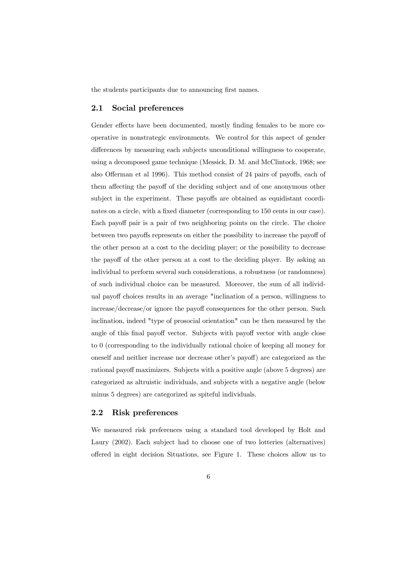the students participants due to announcing first names.

#### 2.1 Social preferences

Gender effects have been documented, mostly finding females to be more cooperative in nonstrategic environments. We control for this aspect of gender differences by measuring each subjects unconditional willingness to cooperate, using a decomposed game technique (Messick, D. M. and McClintock, 1968; see also Offerman et al 1996). This method consist of 24 pairs of payoffs, each of them affecting the payoff of the deciding subject and of one anonymous other subject in the experiment. These payoffs are obtained as equidistant coordinates on a circle, with a fixed diameter (corresponding to 150 cents in our case). Each payoff pair is a pair of two neighboring points on the circle. The choice between two payoffs represents on either the possibility to increase the payoff of the other person at a cost to the deciding player; or the possibility to decrease the payoff of the other person at a cost to the deciding player. By asking an individual to perform several such considerations, a robustness (or randomness) of such individual choice can be measured. Moreover, the sum of all individual payoff choices results in an average "inclination of a person, willingness to increase/decrease/or ignore the payoff consequences for the other person. Such inclination, indeed "type of prosocial orientation" can be then measured by the angle of this final payoff vector. Subjects with payoff vector with angle close to 0 (corresponding to the individually rational choice of keeping all money for oneself and neither increase nor decrease other's payoff) are categorized as the rational payoff maximizers. Subjects with a positive angle (above 5 degrees) are categorized as altruistic individuals, and subjects with a negative angle (below minus 5 degrees) are categorized as spiteful individuals.

#### 2.2 Risk preferences

We measured risk preferences using a standard tool developed by Holt and Laury (2002). Each subject had to choose one of two lotteries (alternatives) offered in eight decision Situations, see Figure 1. These choices allow us to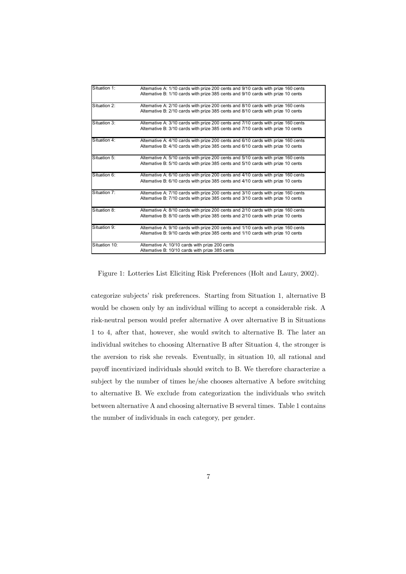| Situation 1:  | Alternative A: 1/10 cards with prize 200 cents and 9/10 cards with prize 160 cents |
|---------------|------------------------------------------------------------------------------------|
|               | Altemative B: 1/10 cards with prize 385 cents and 9/10 cards with prize 10 cents   |
|               |                                                                                    |
| Situation 2:  | Alternative A: 2/10 cards with prize 200 cents and 8/10 cards with prize 160 cents |
|               | Altemative B: 2/10 cards with prize 385 cents and 8/10 cards with prize 10 cents   |
|               |                                                                                    |
| Situation 3:  | Altemative A: 3/10 cards with prize 200 cents and 7/10 cards with prize 160 cents  |
|               | Altemative B: 3/10 cards with prize 385 cents and 7/10 cards with prize 10 cents   |
|               |                                                                                    |
| Situation 4:  | Altemative A: 4/10 cards with prize 200 cents and 6/10 cards with prize 160 cents  |
|               | Altemative B: 4/10 cards with prize 385 cents and 6/10 cards with prize 10 cents   |
|               |                                                                                    |
| Situation 5:  | Alternative A: 5/10 cards with prize 200 cents and 5/10 cards with prize 160 cents |
|               | Altemative B: 5/10 cards with prize 385 cents and 5/10 cards with prize 10 cents   |
|               |                                                                                    |
| Situation 6:  | Alternative A: 6/10 cards with prize 200 cents and 4/10 cards with prize 160 cents |
|               | Altemative B: 6/10 cards with prize 385 cents and 4/10 cards with prize 10 cents   |
|               |                                                                                    |
| Situation 7:  | Altemative A: 7/10 cards with prize 200 cents and 3/10 cards with prize 160 cents  |
|               | Altemative B: 7/10 cards with prize 385 cents and 3/10 cards with prize 10 cents   |
|               |                                                                                    |
| Situation 8:  | Alternative A: 8/10 cards with prize 200 cents and 2/10 cards with prize 160 cents |
|               | Altemative B: 8/10 cards with prize 385 cents and 2/10 cards with prize 10 cents   |
|               |                                                                                    |
| Situation 9:  | Altemative A: 9/10 cards with prize 200 cents and 1/10 cards with prize 160 cents  |
|               | Alternative B: 9/10 cards with prize 385 cents and 1/10 cards with prize 10 cents  |
|               |                                                                                    |
| Situation 10: | Altemative A: 10/10 cards with prize 200 cents                                     |
|               | Altemative B: 10/10 cards with prize 385 cents                                     |

Figure 1: Lotteries List Eliciting Risk Preferences (Holt and Laury, 2002).

categorize subjects' risk preferences. Starting from Situation 1, alternative B would be chosen only by an individual willing to accept a considerable risk. A risk-neutral person would prefer alternative A over alternative B in Situations 1 to 4, after that, however, she would switch to alternative B. The later an individual switches to choosing Alternative B after Situation 4, the stronger is the aversion to risk she reveals. Eventually, in situation 10, all rational and payoff incentivized individuals should switch to B. We therefore characterize a subject by the number of times he/she chooses alternative A before switching to alternative B. We exclude from categorization the individuals who switch between alternative A and choosing alternative B several times. Table 1 contains the number of individuals in each category, per gender.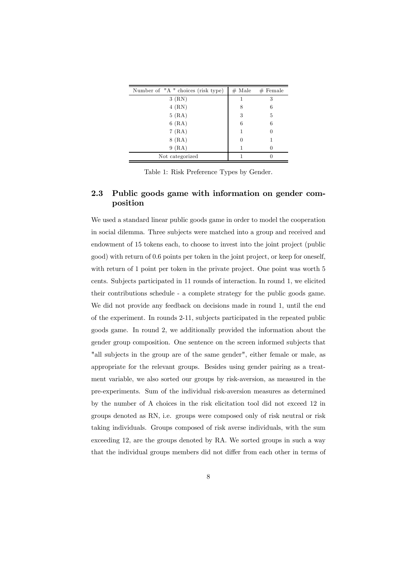| Number of "A" choices (risk type) | $#$ Male | $#$ Female |
|-----------------------------------|----------|------------|
| 3(RN)                             |          | 3          |
| $4$ (RN)                          | 8        | 6          |
| 5(RA)                             | 3        | 5          |
| 6(RA)                             | 6        | 6          |
| 7(RA)                             |          |            |
| $8$ (RA)                          |          |            |
| 9(RA)                             |          |            |
| Not categorized                   |          |            |

Table 1: Risk Preference Types by Gender.

### 2.3 Public goods game with information on gender composition

We used a standard linear public goods game in order to model the cooperation in social dilemma. Three subjects were matched into a group and received and endowment of 15 tokens each, to choose to invest into the joint project (public good) with return of 0.6 points per token in the joint project, or keep for oneself, with return of 1 point per token in the private project. One point was worth 5 cents. Subjects participated in 11 rounds of interaction. In round 1, we elicited their contributions schedule - a complete strategy for the public goods game. We did not provide any feedback on decisions made in round 1, until the end of the experiment. In rounds 2-11, subjects participated in the repeated public goods game. In round 2, we additionally provided the information about the gender group composition. One sentence on the screen informed subjects that "all subjects in the group are of the same gender", either female or male, as appropriate for the relevant groups. Besides using gender pairing as a treatment variable, we also sorted our groups by risk-aversion, as measured in the pre-experiments. Sum of the individual risk-aversion measures as determined by the number of A choices in the risk elicitation tool did not exceed 12 in groups denoted as RN, i.e. groups were composed only of risk neutral or risk taking individuals. Groups composed of risk averse individuals, with the sum exceeding 12, are the groups denoted by RA. We sorted groups in such a way that the individual groups members did not differ from each other in terms of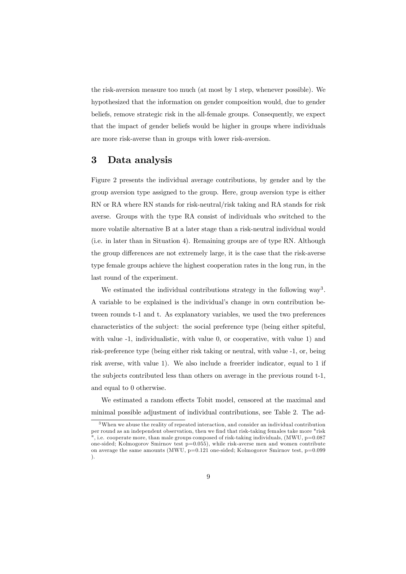the risk-aversion measure too much (at most by 1 step, whenever possible). We hypothesized that the information on gender composition would, due to gender beliefs, remove strategic risk in the all-female groups. Consequently, we expect that the impact of gender beliefs would be higher in groups where individuals are more risk-averse than in groups with lower risk-aversion.

### 3 Data analysis

Figure 2 presents the individual average contributions, by gender and by the group aversion type assigned to the group. Here, group aversion type is either RN or RA where RN stands for risk-neutral/risk taking and RA stands for risk averse. Groups with the type RA consist of individuals who switched to the more volatile alternative B at a later stage than a risk-neutral individual would (i.e. in later than in Situation 4). Remaining groups are of type RN. Although the group differences are not extremely large, it is the case that the risk-averse type female groups achieve the highest cooperation rates in the long run, in the last round of the experiment.

We estimated the individual contributions strategy in the following  $way<sup>3</sup>$ . A variable to be explained is the individual's change in own contribution between rounds t-1 and t. As explanatory variables, we used the two preferences characteristics of the subject: the social preference type (being either spiteful, with value  $-1$ , individualistic, with value 0, or cooperative, with value 1) and risk-preference type (being either risk taking or neutral, with value -1, or, being risk averse, with value 1). We also include a freerider indicator, equal to 1 if the subjects contributed less than others on average in the previous round t-1, and equal to 0 otherwise.

We estimated a random effects Tobit model, censored at the maximal and minimal possible adjustment of individual contributions, see Table 2. The ad-

<sup>3</sup>When we abuse the reality of repeated interaction, and consider an individual contribution per round as an independent observation, then we find that risk-taking females take more "risk ", i.e. cooperate more, than male groups composed of risk-taking individuals,  $(MWU, p=0.087)$ one-sided; Kolmogorov Smirnov test  $p=0.055$ ), while risk-averse men and women contribute on average the same amounts (MWU, p=0.121 one-sided; Kolmogorov Smirnov test, p=0.099 ).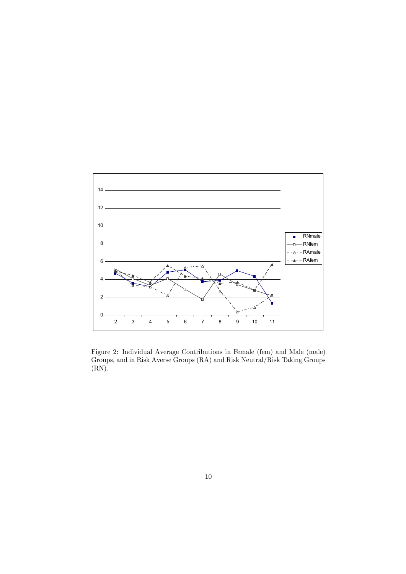

Figure 2: Individual Average Contributions in Female (fem) and Male (male) Groups, and in Risk Averse Groups (RA) and Risk Neutral/Risk Taking Groups (RN).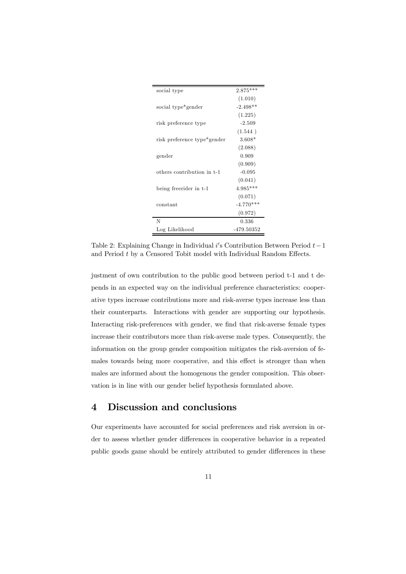| social type                 | $2.875***$  |
|-----------------------------|-------------|
|                             | (1.010)     |
| social type*gender          | $-2.498**$  |
|                             | (1.225)     |
| risk preference type        | $-2.509$    |
|                             | (1.544)     |
| risk preference type*gender | $3.608*$    |
|                             | (2.088)     |
| gender                      | 0.909       |
|                             | (0.909)     |
| others contribution in t-1  | $-0.095$    |
|                             | (0.041)     |
| being freerider in t-1      | $4.985***$  |
|                             | (0.071)     |
| constant                    | $-4.770***$ |
|                             | (0.972)     |
| N                           | 0.336       |
| Log Likelihood              | -479.50352  |

Table 2: Explaining Change in Individual i's Contribution Between Period  $t-1$ and Period t by a Censored Tobit model with Individual Random Effects.

justment of own contribution to the public good between period t-1 and t depends in an expected way on the individual preference characteristics: cooperative types increase contributions more and risk-averse types increase less than their counterparts. Interactions with gender are supporting our hypothesis. Interacting risk-preferences with gender, we find that risk-averse female types increase their contributors more than risk-averse male types. Consequently, the information on the group gender composition mitigates the risk-aversion of females towards being more cooperative, and this effect is stronger than when males are informed about the homogenous the gender composition. This observation is in line with our gender belief hypothesis formulated above.

# 4 Discussion and conclusions

Our experiments have accounted for social preferences and risk aversion in order to assess whether gender differences in cooperative behavior in a repeated public goods game should be entirely attributed to gender differences in these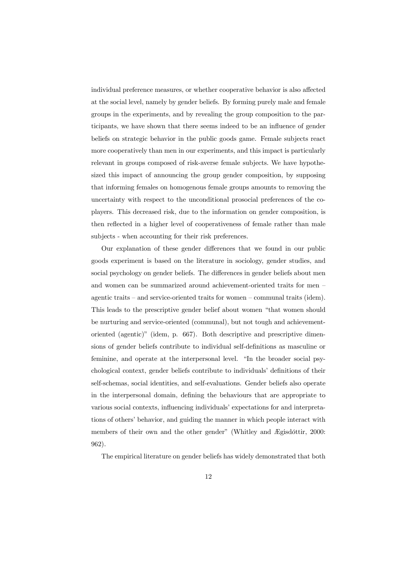individual preference measures, or whether cooperative behavior is also affected at the social level, namely by gender beliefs. By forming purely male and female groups in the experiments, and by revealing the group composition to the participants, we have shown that there seems indeed to be an influence of gender beliefs on strategic behavior in the public goods game. Female subjects react more cooperatively than men in our experiments, and this impact is particularly relevant in groups composed of risk-averse female subjects. We have hypothesized this impact of announcing the group gender composition, by supposing that informing females on homogenous female groups amounts to removing the uncertainty with respect to the unconditional prosocial preferences of the coplayers. This decreased risk, due to the information on gender composition, is then reflected in a higher level of cooperativeness of female rather than male subjects - when accounting for their risk preferences.

Our explanation of these gender differences that we found in our public goods experiment is based on the literature in sociology, gender studies, and social psychology on gender beliefs. The differences in gender beliefs about men and women can be summarized around achievement-oriented traits for men – agentic traits — and service-oriented traits for women — communal traits (idem). This leads to the prescriptive gender belief about women "that women should be nurturing and service-oriented (communal), but not tough and achievementoriented (agentic)" (idem, p. 667). Both descriptive and prescriptive dimensions of gender beliefs contribute to individual self-definitions as masculine or feminine, and operate at the interpersonal level. "In the broader social psychological context, gender beliefs contribute to individuals' definitions of their self-schemas, social identities, and self-evaluations. Gender beliefs also operate in the interpersonal domain, defining the behaviours that are appropriate to various social contexts, influencing individuals' expectations for and interpretations of others' behavior, and guiding the manner in which people interact with members of their own and the other gender" (Whitley and Ægisdóttir, 2000: 962).

The empirical literature on gender beliefs has widely demonstrated that both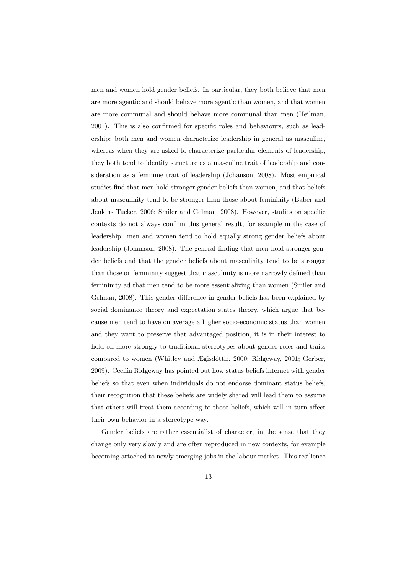men and women hold gender beliefs. In particular, they both believe that men are more agentic and should behave more agentic than women, and that women are more communal and should behave more communal than men (Heilman, 2001). This is also confirmed for specific roles and behaviours, such as leadership: both men and women characterize leadership in general as masculine, whereas when they are asked to characterize particular elements of leadership, they both tend to identify structure as a masculine trait of leadership and consideration as a feminine trait of leadership (Johanson, 2008). Most empirical studies find that men hold stronger gender beliefs than women, and that beliefs about masculinity tend to be stronger than those about femininity (Baber and Jenkins Tucker, 2006; Smiler and Gelman, 2008). However, studies on specific contexts do not always confirm this general result, for example in the case of leadership: men and women tend to hold equally strong gender beliefs about leadership (Johanson, 2008). The general finding that men hold stronger gender beliefs and that the gender beliefs about masculinity tend to be stronger than those on femininity suggest that masculinity is more narrowly defined than femininity ad that men tend to be more essentializing than women (Smiler and Gelman, 2008). This gender difference in gender beliefs has been explained by social dominance theory and expectation states theory, which argue that because men tend to have on average a higher socio-economic status than women and they want to preserve that advantaged position, it is in their interest to hold on more strongly to traditional stereotypes about gender roles and traits compared to women (Whitley and Ægisdóttir, 2000; Ridgeway, 2001; Gerber, 2009). Cecilia Ridgeway has pointed out how status beliefs interact with gender beliefs so that even when individuals do not endorse dominant status beliefs, their recognition that these beliefs are widely shared will lead them to assume that others will treat them according to those beliefs, which will in turn affect their own behavior in a stereotype way.

Gender beliefs are rather essentialist of character, in the sense that they change only very slowly and are often reproduced in new contexts, for example becoming attached to newly emerging jobs in the labour market. This resilience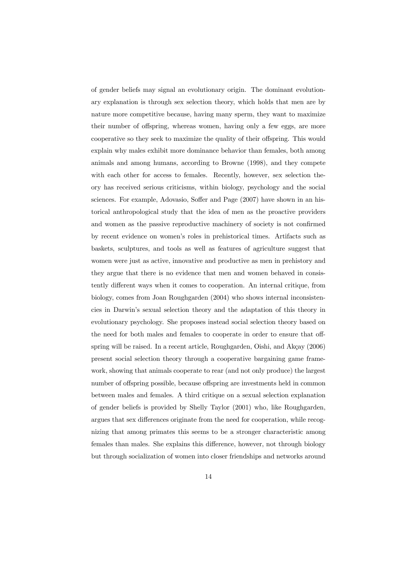of gender beliefs may signal an evolutionary origin. The dominant evolutionary explanation is through sex selection theory, which holds that men are by nature more competitive because, having many sperm, they want to maximize their number of offspring, whereas women, having only a few eggs, are more cooperative so they seek to maximize the quality of their offspring. This would explain why males exhibit more dominance behavior than females, both among animals and among humans, according to Browne (1998), and they compete with each other for access to females. Recently, however, sex selection theory has received serious criticisms, within biology, psychology and the social sciences. For example, Adovasio, Soffer and Page (2007) have shown in an historical anthropological study that the idea of men as the proactive providers and women as the passive reproductive machinery of society is not confirmed by recent evidence on women's roles in prehistorical times. Artifacts such as baskets, sculptures, and tools as well as features of agriculture suggest that women were just as active, innovative and productive as men in prehistory and they argue that there is no evidence that men and women behaved in consistently different ways when it comes to cooperation. An internal critique, from biology, comes from Joan Roughgarden (2004) who shows internal inconsistencies in Darwin's sexual selection theory and the adaptation of this theory in evolutionary psychology. She proposes instead social selection theory based on the need for both males and females to cooperate in order to ensure that offspring will be raised. In a recent article, Roughgarden, Oishi, and Akçay (2006) present social selection theory through a cooperative bargaining game framework, showing that animals cooperate to rear (and not only produce) the largest number of offspring possible, because offspring are investments held in common between males and females. A third critique on a sexual selection explanation of gender beliefs is provided by Shelly Taylor (2001) who, like Roughgarden, argues that sex differences originate from the need for cooperation, while recognizing that among primates this seems to be a stronger characteristic among females than males. She explains this difference, however, not through biology but through socialization of women into closer friendships and networks around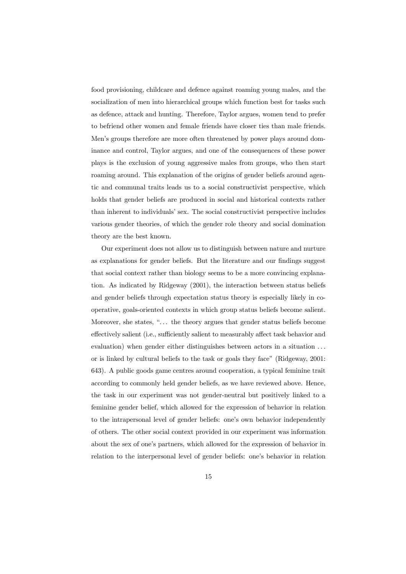food provisioning, childcare and defence against roaming young males, and the socialization of men into hierarchical groups which function best for tasks such as defence, attack and hunting. Therefore, Taylor argues, women tend to prefer to befriend other women and female friends have closer ties than male friends. Men's groups therefore are more often threatened by power plays around dominance and control, Taylor argues, and one of the consequences of these power plays is the exclusion of young aggressive males from groups, who then start roaming around. This explanation of the origins of gender beliefs around agentic and communal traits leads us to a social constructivist perspective, which holds that gender beliefs are produced in social and historical contexts rather than inherent to individuals' sex. The social constructivist perspective includes various gender theories, of which the gender role theory and social domination theory are the best known.

Our experiment does not allow us to distinguish between nature and nurture as explanations for gender beliefs. But the literature and our findings suggest that social context rather than biology seems to be a more convincing explanation. As indicated by Ridgeway (2001), the interaction between status beliefs and gender beliefs through expectation status theory is especially likely in cooperative, goals-oriented contexts in which group status beliefs become salient. Moreover, she states, "... the theory argues that gender status beliefs become effectively salient (i.e., sufficiently salient to measurably affect task behavior and evaluation) when gender either distinguishes between actors in a situation ... or is linked by cultural beliefs to the task or goals they face" (Ridgeway, 2001: 643). A public goods game centres around cooperation, a typical feminine trait according to commonly held gender beliefs, as we have reviewed above. Hence, the task in our experiment was not gender-neutral but positively linked to a feminine gender belief, which allowed for the expression of behavior in relation to the intrapersonal level of gender beliefs: one's own behavior independently of others. The other social context provided in our experiment was information about the sex of one's partners, which allowed for the expression of behavior in relation to the interpersonal level of gender beliefs: one's behavior in relation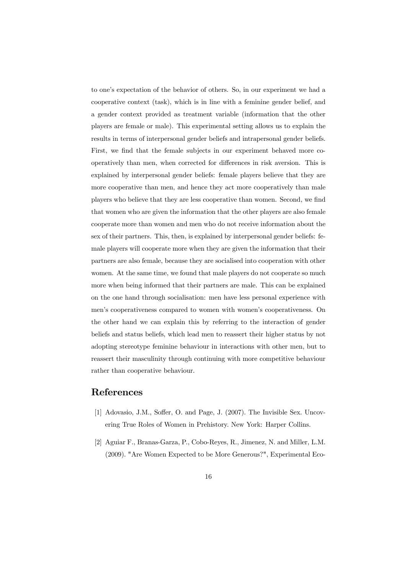to one's expectation of the behavior of others. So, in our experiment we had a cooperative context (task), which is in line with a feminine gender belief, and a gender context provided as treatment variable (information that the other players are female or male). This experimental setting allows us to explain the results in terms of interpersonal gender beliefs and intrapersonal gender beliefs. First, we find that the female subjects in our experiment behaved more cooperatively than men, when corrected for differences in risk aversion. This is explained by interpersonal gender beliefs: female players believe that they are more cooperative than men, and hence they act more cooperatively than male players who believe that they are less cooperative than women. Second, we find that women who are given the information that the other players are also female cooperate more than women and men who do not receive information about the sex of their partners. This, then, is explained by interpersonal gender beliefs: female players will cooperate more when they are given the information that their partners are also female, because they are socialised into cooperation with other women. At the same time, we found that male players do not cooperate so much more when being informed that their partners are male. This can be explained on the one hand through socialisation: men have less personal experience with men's cooperativeness compared to women with women's cooperativeness. On the other hand we can explain this by referring to the interaction of gender beliefs and status beliefs, which lead men to reassert their higher status by not adopting stereotype feminine behaviour in interactions with other men, but to reassert their masculinity through continuing with more competitive behaviour rather than cooperative behaviour.

# References

- [1] Adovasio, J.M., Soffer, O. and Page, J. (2007). The Invisible Sex. Uncovering True Roles of Women in Prehistory. New York: Harper Collins.
- [2] Aguiar F., Branas-Garza, P., Cobo-Reyes, R., Jimenez, N. and Miller, L.M. (2009). "Are Women Expected to be More Generous?", Experimental Eco-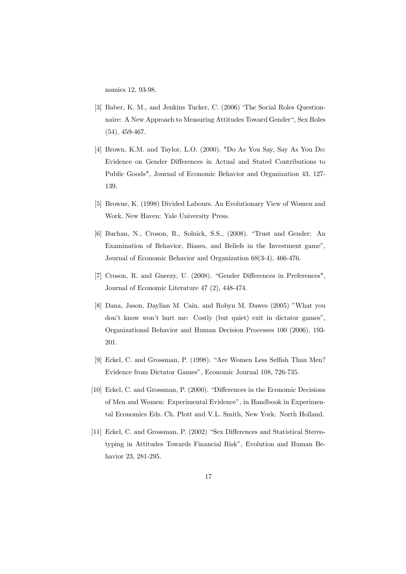nomics 12, 93-98.

- [3] Baber, K. M., and Jenkins Tucker, C. (2006) 'The Social Roles Questionnaire: A New Approach to Measuring Attitudes Toward Gender", Sex Roles (54), 459-467.
- [4] Brown, K.M. and Taylor, L.O. (2000). "Do As You Say, Say As You Do: Evidence on Gender Differences in Actual and Stated Contributions to Public Goods", Journal of Economic Behavior and Organization 43, 127- 139.
- [5] Browne, K. (1998) Divided Labours. An Evolutionary View of Women and Work. New Haven: Yale University Press.
- [6] Buchan, N., Croson, R., Solnick, S.S., (2008). "Trust and Gender: An Examination of Behavior, Biases, and Beliefs in the Investment game", Journal of Economic Behavior and Organization 68(3-4), 466-476.
- [7] Croson, R. and Gneezy, U. (2008). "Gender Differences in Preferences", Journal of Economic Literature 47 (2), 448-474.
- [8] Dana, Jason, Daylian M. Cain, and Robyn M. Dawes (2005) "What you don't know won't hurt me: Costly (but quiet) exit in dictator games", Organizational Behavior and Human Decision Processes 100 (2006), 193- 201.
- [9] Eckel, C. and Grossman, P. (1998). "Are Women Less Selfish Than Men? Evidence from Dictator Games", Economic Journal 108, 726-735.
- [10] Eckel, C. and Grossman, P. (2000). "Differences in the Economic Decisions of Men and Women: Experimental Evidence", in Handbook in Experimental Economics Eds. Ch. Plott and V.L. Smith, New York: North Holland.
- [11] Eckel, C. and Grossman, P. (2002) "Sex Differences and Statistical Stereotyping in Attitudes Towards Financial Risk", Evolution and Human Behavior 23, 281-295.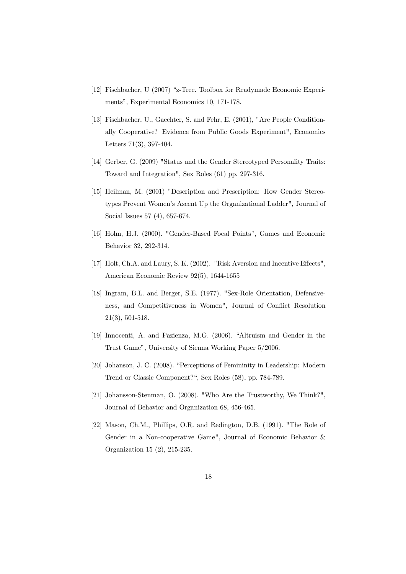- [12] Fischbacher, U (2007) "z-Tree. Toolbox for Readymade Economic Experiments", Experimental Economics 10, 171-178.
- [13] Fischbacher, U., Gaechter, S. and Fehr, E. (2001), "Are People Conditionally Cooperative? Evidence from Public Goods Experiment", Economics Letters 71(3), 397-404.
- [14] Gerber, G. (2009) "Status and the Gender Stereotyped Personality Traits: Toward and Integration", Sex Roles (61) pp. 297-316.
- [15] Heilman, M. (2001) "Description and Prescription: How Gender Stereotypes Prevent Women's Ascent Up the Organizational Ladder", Journal of Social Issues 57 (4), 657-674.
- [16] Holm, H.J. (2000). "Gender-Based Focal Points", Games and Economic Behavior 32, 292-314.
- [17] Holt, Ch.A. and Laury, S. K. (2002). "Risk Aversion and Incentive Effects", American Economic Review 92(5), 1644-1655
- [18] Ingram, B.L. and Berger, S.E. (1977). "Sex-Role Orientation, Defensiveness, and Competitiveness in Women", Journal of Conflict Resolution 21(3), 501-518.
- [19] Innocenti, A. and Pazienza, M.G. (2006). "Altruism and Gender in the Trust Game", University of Sienna Working Paper 5/2006.
- [20] Johanson, J. C. (2008). "Perceptions of Femininity in Leadership: Modern Trend or Classic Component?", Sex Roles (58), pp. 784-789.
- [21] Johansson-Stenman, O. (2008). "Who Are the Trustworthy, We Think?", Journal of Behavior and Organization 68, 456-465.
- [22] Mason, Ch.M., Phillips, O.R. and Redington, D.B. (1991). "The Role of Gender in a Non-cooperative Game", Journal of Economic Behavior & Organization 15 (2), 215-235.